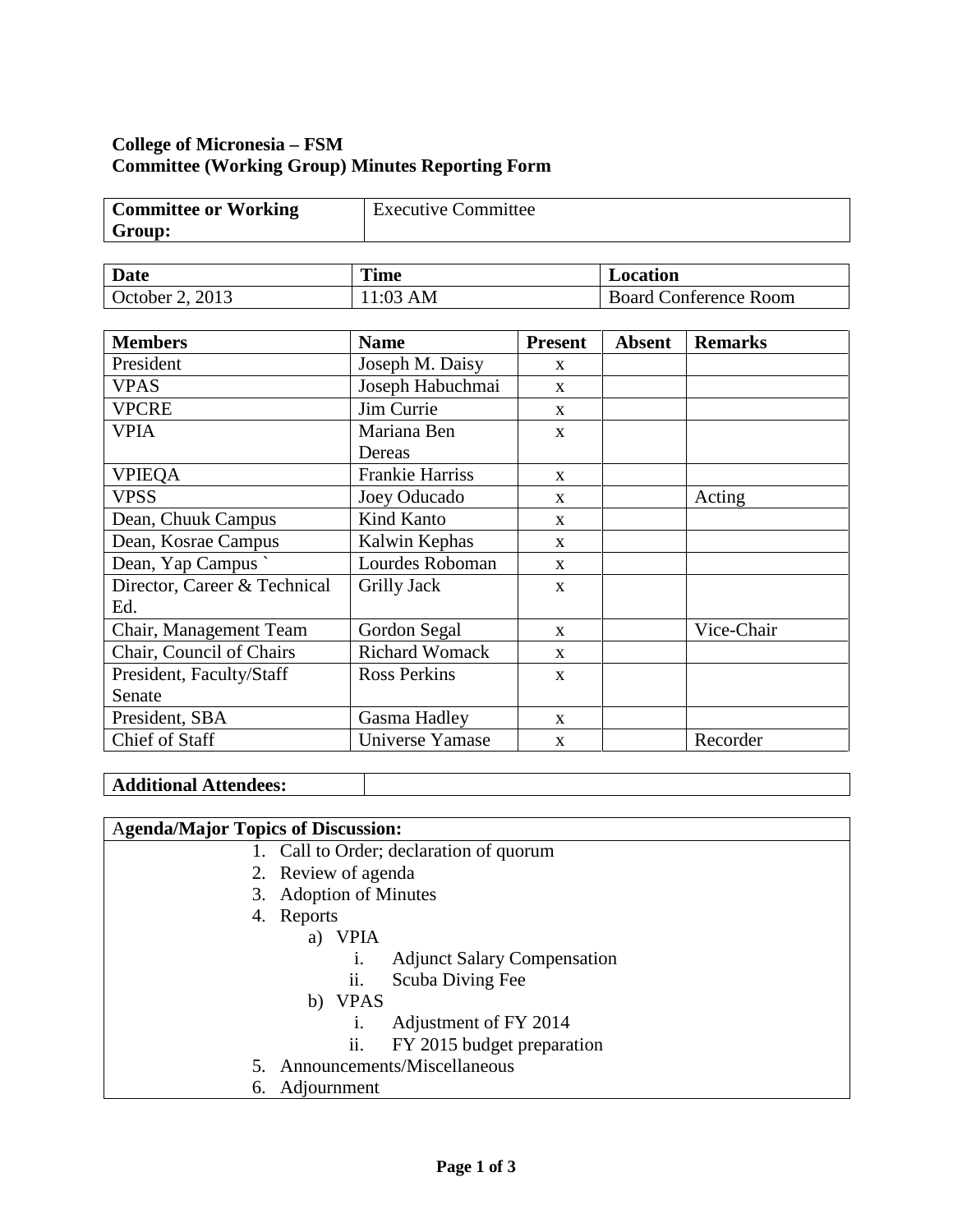### **College of Micronesia – FSM Committee (Working Group) Minutes Reporting Form**

| <b>Committee or Working</b> | <b>Executive Committee</b> |
|-----------------------------|----------------------------|
| Group:                      |                            |

| Date            | <b>Time</b> | <b>Location</b>              |  |
|-----------------|-------------|------------------------------|--|
| October 2, 2013 | l:03 AM     | <b>Board Conference Room</b> |  |

| <b>Members</b>               | <b>Name</b>            | <b>Present</b> | <b>Absent</b> | <b>Remarks</b> |
|------------------------------|------------------------|----------------|---------------|----------------|
| President                    | Joseph M. Daisy        | $\mathbf{x}$   |               |                |
| <b>VPAS</b>                  | Joseph Habuchmai       | $\mathbf{x}$   |               |                |
| <b>VPCRE</b>                 | Jim Currie             | $\mathbf{x}$   |               |                |
| <b>VPIA</b>                  | Mariana Ben            | $\mathbf{x}$   |               |                |
|                              | Dereas                 |                |               |                |
| <b>VPIEQA</b>                | <b>Frankie Harriss</b> | $\mathbf{X}$   |               |                |
| <b>VPSS</b>                  | Joey Oducado           | $\mathbf{X}$   |               | Acting         |
| Dean, Chuuk Campus           | Kind Kanto             | $\mathbf{x}$   |               |                |
| Dean, Kosrae Campus          | Kalwin Kephas          | X              |               |                |
| Dean, Yap Campus             | Lourdes Roboman        | $\mathbf{X}$   |               |                |
| Director, Career & Technical | Grilly Jack            | $\mathbf{x}$   |               |                |
| Ed.                          |                        |                |               |                |
| Chair, Management Team       | Gordon Segal           | $\mathbf{x}$   |               | Vice-Chair     |
| Chair, Council of Chairs     | <b>Richard Womack</b>  | $\mathbf{x}$   |               |                |
| President, Faculty/Staff     | <b>Ross Perkins</b>    | $\mathbf{X}$   |               |                |
| Senate                       |                        |                |               |                |
| President, SBA               | Gasma Hadley           | $\mathbf{x}$   |               |                |
| Chief of Staff               | Universe Yamase        | $\mathbf{X}$   |               | Recorder       |

#### **Additional Attendees:**

#### A**genda/Major Topics of Discussion:**

- 1. Call to Order; declaration of quorum
- 2. Review of agenda
- 3. Adoption of Minutes
- 4. Reports
	- a) VPIA
		- i. Adjunct Salary Compensation
		- ii. Scuba Diving Fee
		- b) VPAS
			- i. Adjustment of FY 2014
			- ii. FY 2015 budget preparation
- 5. Announcements/Miscellaneous
- 6. Adjournment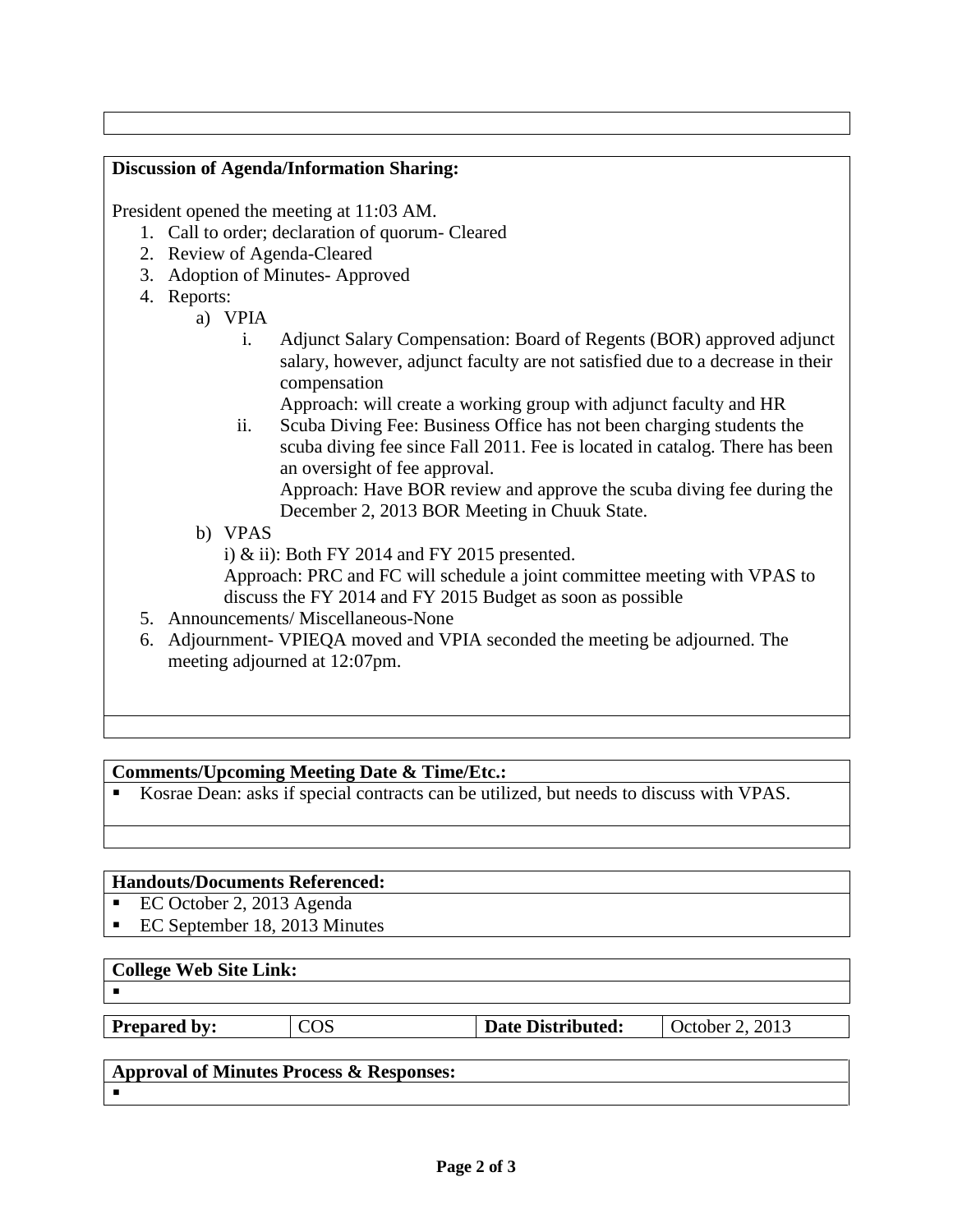## **Discussion of Agenda/Information Sharing:** President opened the meeting at 11:03 AM. 1. Call to order; declaration of quorum- Cleared 2. Review of Agenda-Cleared 3. Adoption of Minutes- Approved 4. Reports: a) VPIA i. Adjunct Salary Compensation: Board of Regents (BOR) approved adjunct salary, however, adjunct faculty are not satisfied due to a decrease in their compensation Approach: will create a working group with adjunct faculty and HR ii. Scuba Diving Fee: Business Office has not been charging students the scuba diving fee since Fall 2011. Fee is located in catalog. There has been an oversight of fee approval. Approach: Have BOR review and approve the scuba diving fee during the December 2, 2013 BOR Meeting in Chuuk State. b) VPAS i) & ii): Both FY 2014 and FY 2015 presented. Approach: PRC and FC will schedule a joint committee meeting with VPAS to discuss the FY 2014 and FY 2015 Budget as soon as possible 5. Announcements/ Miscellaneous-None

6. Adjournment- VPIEQA moved and VPIA seconded the meeting be adjourned. The meeting adjourned at 12:07pm.

# **Comments/Upcoming Meeting Date & Time/Etc.:**

Kosrae Dean: asks if special contracts can be utilized, but needs to discuss with VPAS.

## **Handouts/Documents Referenced:**

- EC October 2, 2013 Agenda
- EC September 18, 2013 Minutes

## **College Web Site Link:**

 $\blacksquare$ 

**Prepared by:** COS **Date Distributed:** October 2, 2013

# **Approval of Minutes Process & Responses:**

 $\blacksquare$